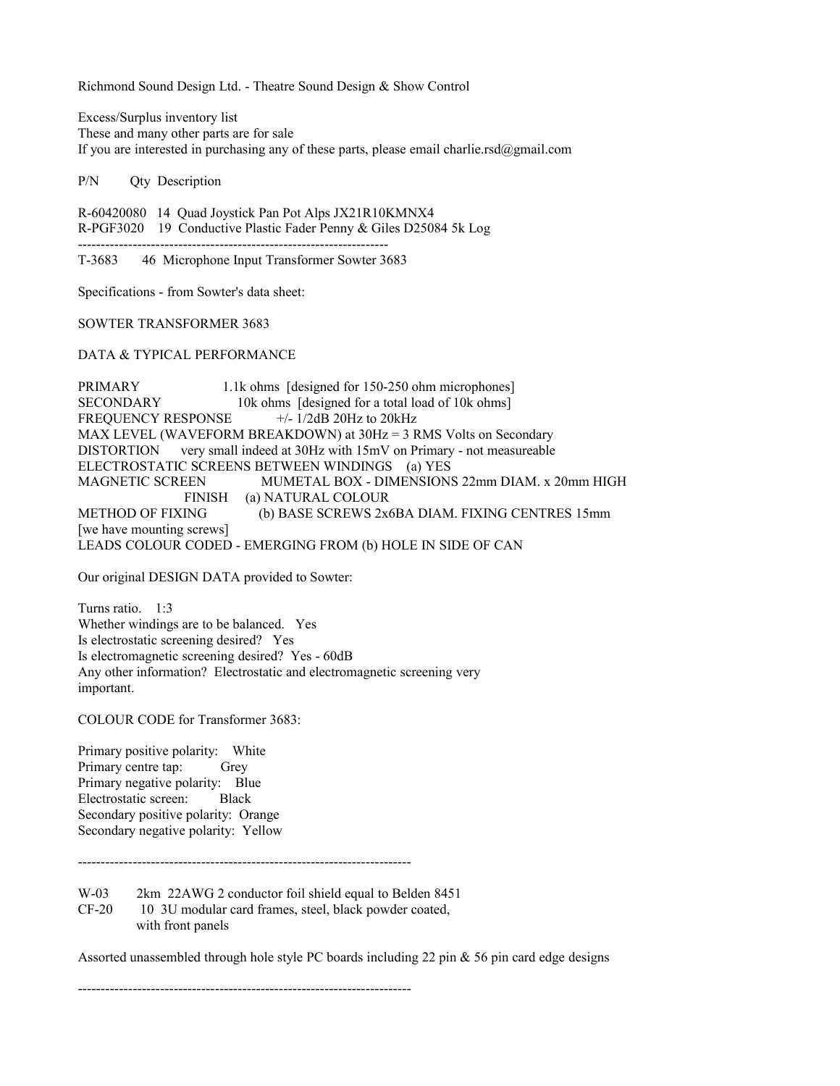Richmond Sound Design Ltd. - Theatre Sound Design & Show Control

Excess/Surplus inventory list These and many other parts are for sale If you are interested in purchasing any of these parts, please email charlie.rsd@gmail.com

P/N Qty Description

R-60420080 14 Quad Joystick Pan Pot Alps JX21R10KMNX4 R-PGF3020 19 Conductive Plastic Fader Penny & Giles D25084 5k Log --------------------------------------------------------------------

T-3683 46 Microphone Input Transformer Sowter 3683

Specifications - from Sowter's data sheet:

SOWTER TRANSFORMER 3683

DATA & TYPICAL PERFORMANCE

PRIMARY 1.1k ohms [designed for 150-250 ohm microphones] SECONDARY 10k ohms [designed for a total load of 10k ohms] FREQUENCY RESPONSE  $+/- 1/2dB$  20Hz to 20kHz MAX LEVEL (WAVEFORM BREAKDOWN) at  $30Hz = 3$  RMS Volts on Secondary DISTORTION very small indeed at 30Hz with 15mV on Primary - not measureable ELECTROSTATIC SCREENS BETWEEN WINDINGS (a) YES MAGNETIC SCREEN MUMETAL BOX - DIMENSIONS 22mm DIAM. x 20mm HIGH FINISH (a) NATURAL COLOUR METHOD OF FIXING (b) BASE SCREWS 2x6BA DIAM. FIXING CENTRES 15mm [we have mounting screws] LEADS COLOUR CODED - EMERGING FROM (b) HOLE IN SIDE OF CAN

Our original DESIGN DATA provided to Sowter:

Turns ratio. 1.3 Whether windings are to be balanced. Yes Is electrostatic screening desired? Yes Is electromagnetic screening desired? Yes - 60dB Any other information? Electrostatic and electromagnetic screening very important.

COLOUR CODE for Transformer 3683:

Primary positive polarity: White Primary centre tap: Grey Primary negative polarity: Blue Electrostatic screen: Black Secondary positive polarity: Orange Secondary negative polarity: Yellow

-------------------------------------------------------------------------

W-03 2km 22AWG 2 conductor foil shield equal to Belden 8451 CF-20 10 3U modular card frames, steel, black powder coated, with front panels

Assorted unassembled through hole style PC boards including 22 pin  $\&$  56 pin card edge designs

-------------------------------------------------------------------------